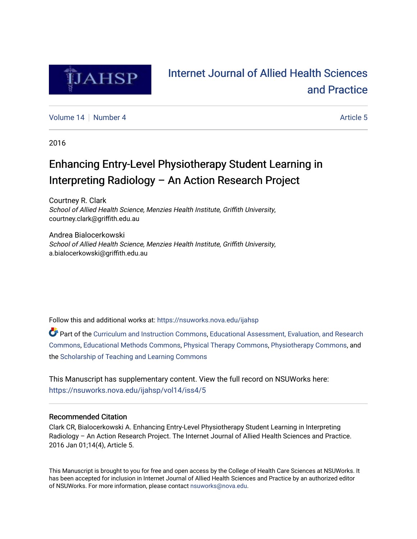

# [Internet Journal of Allied Health Sciences](https://nsuworks.nova.edu/ijahsp)  [and Practice](https://nsuworks.nova.edu/ijahsp)

[Volume 14](https://nsuworks.nova.edu/ijahsp/vol14) | [Number 4](https://nsuworks.nova.edu/ijahsp/vol14/iss4) Article 5

2016

# Enhancing Entry-Level Physiotherapy Student Learning in Interpreting Radiology – An Action Research Project

Courtney R. Clark School of Allied Health Science, Menzies Health Institute, Griffith University, courtney.clark@griffith.edu.au

Andrea Bialocerkowski School of Allied Health Science, Menzies Health Institute, Griffith University, a.bialocerkowski@griffith.edu.au

Follow this and additional works at: [https://nsuworks.nova.edu/ijahsp](https://nsuworks.nova.edu/ijahsp?utm_source=nsuworks.nova.edu%2Fijahsp%2Fvol14%2Fiss4%2F5&utm_medium=PDF&utm_campaign=PDFCoverPages) 

Part of the [Curriculum and Instruction Commons,](http://network.bepress.com/hgg/discipline/786?utm_source=nsuworks.nova.edu%2Fijahsp%2Fvol14%2Fiss4%2F5&utm_medium=PDF&utm_campaign=PDFCoverPages) [Educational Assessment, Evaluation, and Research](http://network.bepress.com/hgg/discipline/796?utm_source=nsuworks.nova.edu%2Fijahsp%2Fvol14%2Fiss4%2F5&utm_medium=PDF&utm_campaign=PDFCoverPages)  [Commons](http://network.bepress.com/hgg/discipline/796?utm_source=nsuworks.nova.edu%2Fijahsp%2Fvol14%2Fiss4%2F5&utm_medium=PDF&utm_campaign=PDFCoverPages), [Educational Methods Commons](http://network.bepress.com/hgg/discipline/1227?utm_source=nsuworks.nova.edu%2Fijahsp%2Fvol14%2Fiss4%2F5&utm_medium=PDF&utm_campaign=PDFCoverPages), [Physical Therapy Commons,](http://network.bepress.com/hgg/discipline/754?utm_source=nsuworks.nova.edu%2Fijahsp%2Fvol14%2Fiss4%2F5&utm_medium=PDF&utm_campaign=PDFCoverPages) [Physiotherapy Commons](http://network.bepress.com/hgg/discipline/1086?utm_source=nsuworks.nova.edu%2Fijahsp%2Fvol14%2Fiss4%2F5&utm_medium=PDF&utm_campaign=PDFCoverPages), and the [Scholarship of Teaching and Learning Commons](http://network.bepress.com/hgg/discipline/1328?utm_source=nsuworks.nova.edu%2Fijahsp%2Fvol14%2Fiss4%2F5&utm_medium=PDF&utm_campaign=PDFCoverPages)

This Manuscript has supplementary content. View the full record on NSUWorks here: <https://nsuworks.nova.edu/ijahsp/vol14/iss4/5>

## Recommended Citation

Clark CR, Bialocerkowski A. Enhancing Entry-Level Physiotherapy Student Learning in Interpreting Radiology – An Action Research Project. The Internet Journal of Allied Health Sciences and Practice. 2016 Jan 01;14(4), Article 5.

This Manuscript is brought to you for free and open access by the College of Health Care Sciences at NSUWorks. It has been accepted for inclusion in Internet Journal of Allied Health Sciences and Practice by an authorized editor of NSUWorks. For more information, please contact [nsuworks@nova.edu.](mailto:nsuworks@nova.edu)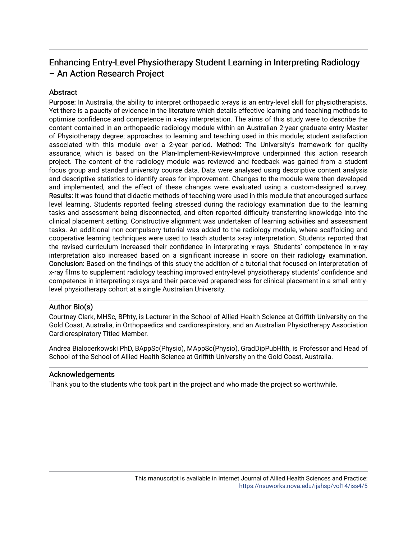# Enhancing Entry-Level Physiotherapy Student Learning in Interpreting Radiology – An Action Research Project

## **Abstract**

Purpose: In Australia, the ability to interpret orthopaedic x-rays is an entry-level skill for physiotherapists. Yet there is a paucity of evidence in the literature which details effective learning and teaching methods to optimise confidence and competence in x-ray interpretation. The aims of this study were to describe the content contained in an orthopaedic radiology module within an Australian 2-year graduate entry Master of Physiotherapy degree; approaches to learning and teaching used in this module; student satisfaction associated with this module over a 2-year period. Method: The University's framework for quality assurance, which is based on the Plan-Implement-Review-Improve underpinned this action research project. The content of the radiology module was reviewed and feedback was gained from a student focus group and standard university course data. Data were analysed using descriptive content analysis and descriptive statistics to identify areas for improvement. Changes to the module were then developed and implemented, and the effect of these changes were evaluated using a custom-designed survey. Results: It was found that didactic methods of teaching were used in this module that encouraged surface level learning. Students reported feeling stressed during the radiology examination due to the learning tasks and assessment being disconnected, and often reported difficulty transferring knowledge into the clinical placement setting. Constructive alignment was undertaken of learning activities and assessment tasks. An additional non-compulsory tutorial was added to the radiology module, where scaffolding and cooperative learning techniques were used to teach students x-ray interpretation. Students reported that the revised curriculum increased their confidence in interpreting x-rays. Students' competence in x-ray interpretation also increased based on a significant increase in score on their radiology examination. Conclusion: Based on the findings of this study the addition of a tutorial that focused on interpretation of x-ray films to supplement radiology teaching improved entry-level physiotherapy students' confidence and competence in interpreting x-rays and their perceived preparedness for clinical placement in a small entrylevel physiotherapy cohort at a single Australian University.

## Author Bio(s)

Courtney Clark, MHSc, BPhty, is Lecturer in the School of Allied Health Science at Griffith University on the Gold Coast, Australia, in Orthopaedics and cardiorespiratory, and an Australian Physiotherapy Association Cardiorespiratory Titled Member.

Andrea Bialocerkowski PhD, BAppSc(Physio), MAppSc(Physio), GradDipPubHlth, is Professor and Head of School of the School of Allied Health Science at Griffith University on the Gold Coast, Australia.

## Acknowledgements

Thank you to the students who took part in the project and who made the project so worthwhile.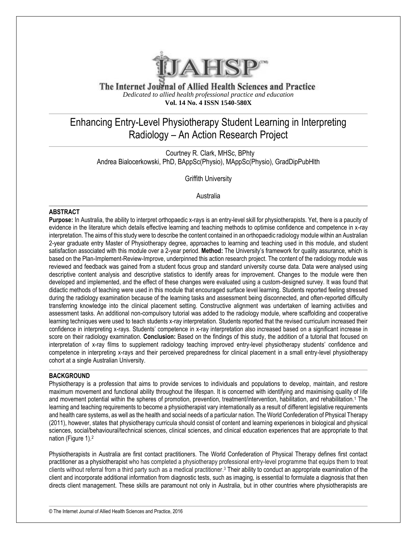

The Internet Journal of Allied Health Sciences and Practice *Dedicated to allied health professional practice and education* **Vol. 14 No. 4 ISSN 1540-580X**

# Enhancing Entry-Level Physiotherapy Student Learning in Interpreting Radiology – An Action Research Project

 Courtney R. Clark, MHSc, BPhty Andrea Bialocerkowski, PhD, BAppSc(Physio), MAppSc(Physio), GradDipPubHlth

Griffith University

Australia

#### **ABSTRACT**

**Purpose:** In Australia, the ability to interpret orthopaedic x-rays is an entry-level skill for physiotherapists. Yet, there is a paucity of evidence in the literature which details effective learning and teaching methods to optimise confidence and competence in x-ray interpretation. The aims of this study were to describe the content contained in an orthopaedic radiology module within an Australian 2-year graduate entry Master of Physiotherapy degree, approaches to learning and teaching used in this module, and student satisfaction associated with this module over a 2-year period. **Method:** The University's framework for quality assurance, which is based on the Plan-Implement-Review-Improve, underpinned this action research project. The content of the radiology module was reviewed and feedback was gained from a student focus group and standard university course data. Data were analysed using descriptive content analysis and descriptive statistics to identify areas for improvement. Changes to the module were then developed and implemented, and the effect of these changes were evaluated using a custom-designed survey. It was found that didactic methods of teaching were used in this module that encouraged surface level learning. Students reported feeling stressed during the radiology examination because of the learning tasks and assessment being disconnected, and often-reported difficulty transferring knowledge into the clinical placement setting. Constructive alignment was undertaken of learning activities and assessment tasks. An additional non-compulsory tutorial was added to the radiology module, where scaffolding and cooperative learning techniques were used to teach students x-ray interpretation. Students reported that the revised curriculum increased their confidence in interpreting x-rays. Students' competence in x-ray interpretation also increased based on a significant increase in score on their radiology examination. **Conclusion:** Based on the findings of this study, the addition of a tutorial that focused on interpretation of x-ray films to supplement radiology teaching improved entry-level physiotherapy students' confidence and competence in interpreting x-rays and their perceived preparedness for clinical placement in a small entry-level physiotherapy cohort at a single Australian University.

#### **BACKGROUND**

Physiotherapy is a profession that aims to provide services to individuals and populations to develop, maintain, and restore maximum movement and functional ability throughout the lifespan. It is concerned with identifying and maximising quality of life and movement potential within the spheres of promotion, prevention, treatment/intervention, habilitation, and rehabilitation. <sup>1</sup> The learning and teaching requirements to become a physiotherapist vary internationally as a result of different legislative requirements and health care systems, as well as the health and social needs of a particular nation. The World Confederation of Physical Therapy (2011), however, states that physiotherapy curricula should consist of content and learning experiences in biological and physical sciences, social/behavioural/technical sciences, clinical sciences, and clinical education experiences that are appropriate to that nation (Figure 1).<sup>2</sup>

Physiotherapists in Australia are first contact practitioners. The World Confederation of Physical Therapy defines first contact practitioner as a physiotherapist who has completed a physiotherapy professional entry-level programme that equips them to treat clients without referral from a third party such as a medical practitioner.<sup>3</sup> Their ability to conduct an appropriate examination of the client and incorporate additional information from diagnostic tests, such as imaging, is essential to formulate a diagnosis that then directs client management. These skills are paramount not only in Australia, but in other countries where physiotherapists are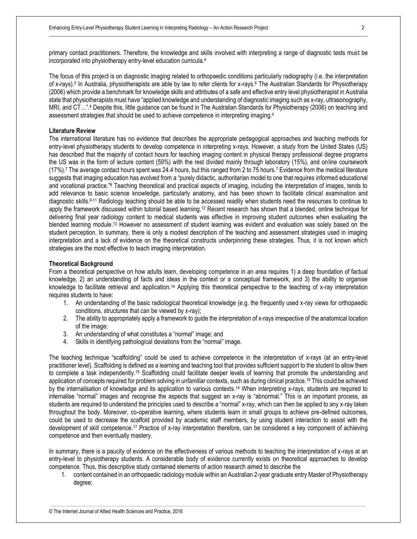primary contact practitioners. Therefore, the knowledge and skills involved with interpreting a range of diagnostic tests must be incorporated into physiotherapy entry-level education curricula. 4

The focus of this project is on diagnostic imaging related to orthopaedic conditions particularly radiography (i.e. the interpretation of x-rays). 5 In Australia, physiotherapists are able by law to refer clients for x-rays. <sup>6</sup> The Australian Standards for Physiotherapy (2006) which provide a benchmark for knowledge skills and attributes of a safe and effective entry level physiotherapist in Australia state that physiotherapists must have "applied knowledge and understanding of diagnostic imaging such as x-ray, ultrasonography, MRI, and CT…".<sup>4</sup> Despite this, little guidance can be found in The Australian Standards for Physiotherapy (2006) on teaching and assessment strategies that should be used to achieve competence in interpreting imaging. 4

#### **Literature Review**

The international literature has no evidence that describes the appropriate pedagogical approaches and teaching methods for entry-level physiotherapy students to develop competence in interpreting x-rays. However, a study from the United States (US) has described that the majority of contact hours for teaching imaging content in physical therapy professional degree programs the US was in the form of lecture content (59%) with the rest divided mainly through laboratory (15%), and online coursework (17%).<sup>7</sup> The average contact hours spent was 24.4 hours, but this ranged from 2 to 75 hours.<sup>7</sup> Evidence from the medical literature suggests that imaging education has evolved from a "purely didactic, authoritarian model to one that requires informed educational and vocational practice." <sup>8</sup> Teaching theoretical and practical aspects of imaging, including the interpretation of images, tends to add relevance to basic science knowledge, particularly anatomy, and has been shown to facilitate clinical examination and diagnostic skills. 9-11 Radiology teaching should be able to be accessed readily when students need the resources to continue to apply the framework discussed within tutorial based learning. <sup>12</sup> Recent research has shown that a blended, online technique for delivering final year radiology content to medical students was effective in improving student outcomes when evaluating the blended learning module.<sup>13</sup> However no assessment of student learning was evident and evaluation was solely based on the student perception. In summary, there is only a modest description of the teaching and assessment strategies used in imaging interpretation and a lack of evidence on the theoretical constructs underpinning these strategies. Thus, it is not known which strategies are the most effective to teach imaging interpretation.

#### **Theoretical Background**

From a theoretical perspective on how adults learn, developing competence in an area requires 1) a deep foundation of factual knowledge, 2) an understanding of facts and ideas in the context or a conceptual framework, and 3) the ability to organise knowledge to facilitate retrieval and application.<sup>14</sup> Applying this theoretical perspective to the teaching of x-ray interpretation requires students to have:

- 1. An understanding of the basic radiological theoretical knowledge (e.g. the frequently used x-ray views for orthopaedic conditions, structures that can be viewed by x-ray);
- 2. The ability to appropriately apply a framework to guide the interpretation of x-rays irrespective of the anatomical location of the image;
- 3. An understanding of what constitutes a "normal" image; and
- 4. Skills in identifying pathological deviations from the "normal" image.

The teaching technique "scaffolding" could be used to achieve competence in the interpretation of x-rays (at an entry-level practitioner level). Scaffolding is defined as a learning and teaching tool that provides sufficient support to the student to allow them to complete a task independently.<sup>15</sup> Scaffolding could facilitate deeper levels of learning that promote the understanding and application of concepts required for problem solving in unfamiliar contexts, such as during clinical practice. <sup>16</sup> This could be achieved by the internalisation of knowledge and its application to various contexts. <sup>14</sup> When interpreting x-rays, students are required to internalise "normal" images and recognise the aspects that suggest an x-ray is "abnormal." This is an important process, as students are required to understand the principles used to describe a "normal" x-ray, which can then be applied to any x-ray taken throughout the body. Moreover, co-operative learning, where students learn in small groups to achieve pre-defined outcomes, could be used to decrease the scaffold provided by academic staff members, by using student interaction to assist with the development of skill competence. <sup>17</sup> Practice of x-ray interpretation therefore, can be considered a key component of achieving competence and then eventually mastery.

In summary, there is a paucity of evidence on the effectiveness of various methods to teaching the interpretation of x-rays at an entry-level to physiotherapy students. A considerable body of evidence currently exists on theoretical approaches to develop competence. Thus, this descriptive study contained elements of action research aimed to describe the

1. content contained in an orthopaedic radiology module within an Australian 2-year graduate entry Master of Physiotherapy degree;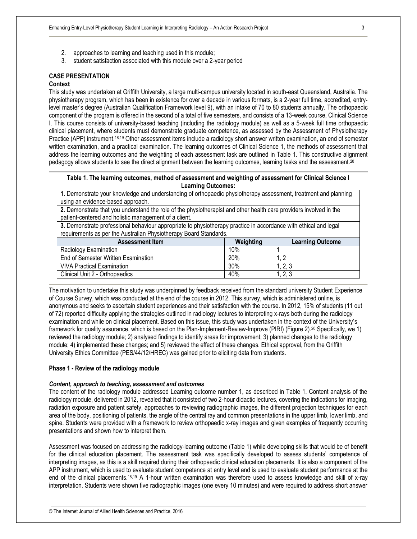- 2. approaches to learning and teaching used in this module;
- 3. student satisfaction associated with this module over a 2-year period

#### **CASE PRESENTATION**

#### **Context**

This study was undertaken at Griffith University, a large multi-campus university located in south-east Queensland, Australia. The physiotherapy program, which has been in existence for over a decade in various formats, is a 2-year full time, accredited, entrylevel master's degree (Australian Qualification Framework level 9), with an intake of 70 to 80 students annually. The orthopaedic component of the program is offered in the second of a total of five semesters, and consists of a 13-week course, Clinical Science I. This course consists of university-based teaching (including the radiology module) as well as a 5-week full time orthopaedic clinical placement, where students must demonstrate graduate competence, as assessed by the Assessment of Physiotherapy Practice (APP) instrument.<sup>18,19</sup> Other assessment items include a radiology short answer written examination, an end of semester written examination, and a practical examination. The learning outcomes of Clinical Science 1, the methods of assessment that address the learning outcomes and the weighting of each assessment task are outlined in Table 1. This constructive alignment pedagogy allows students to see the direct alignment between the learning outcomes, learning tasks and the assessment.<sup>20</sup>

#### **Table 1. The learning outcomes, method of assessment and weighting of assessment for Clinical Science I Learning Outcomes:**

**1**. Demonstrate your knowledge and understanding of orthopaedic physiotherapy assessment, treatment and planning using an evidence-based approach.

| 2. Demonstrate that you understand the role of the physiotherapist and other health care providers involved in the |  |
|--------------------------------------------------------------------------------------------------------------------|--|
| patient-centered and holistic management of a client.                                                              |  |

**3**. Demonstrate professional behaviour appropriate to physiotherapy practice in accordance with ethical and legal requirements as per the Australian Physiotherapy Board Standards.

| <b>Assessment Item</b>              | Weighting | <b>Learning Outcome</b> |
|-------------------------------------|-----------|-------------------------|
| Radiology Examination               | 10%       |                         |
| End of Semester Written Examination | 20%       |                         |
| VIVA Practical Examination          | 30%       | ົ<br>ن . 4              |
| Clinical Unit 2 - Orthopaedics      | 40%       | ົ                       |

The motivation to undertake this study was underpinned by feedback received from the standard university Student Experience of Course Survey, which was conducted at the end of the course in 2012. This survey, which is administered online, is anonymous and seeks to ascertain student experiences and their satisfaction with the course. In 2012, 15% of students (11 out of 72) reported difficulty applying the strategies outlined in radiology lectures to interpreting x-rays both during the radiology examination and while on clinical placement. Based on this issue, this study was undertaken in the context of the University's framework for quality assurance, which is based on the Plan-Implement-Review-Improve (PIRI) (Figure 2). <sup>20</sup> Specifically, we 1) reviewed the radiology module; 2) analysed findings to identify areas for improvement; 3) planned changes to the radiology module; 4) implemented these changes; and 5) reviewed the effect of these changes. Ethical approval, from the Griffith University Ethics Committee (PES/44/12/HREC) was gained prior to eliciting data from students.

#### **Phase 1 - Review of the radiology module**

#### *Content, approach to teaching, assessment and outcomes*

The content of the radiology module addressed Learning outcome number 1, as described in Table 1. Content analysis of the radiology module, delivered in 2012, revealed that it consisted of two 2-hour didactic lectures, covering the indications for imaging, radiation exposure and patient safety, approaches to reviewing radiographic images, the different projection techniques for each area of the body, positioning of patients, the angle of the central ray and common presentations in the upper limb, lower limb, and spine. Students were provided with a framework to review orthopaedic x-ray images and given examples of frequently occurring presentations and shown how to interpret them.

Assessment was focused on addressing the radiology-learning outcome (Table 1) while developing skills that would be of benefit for the clinical education placement. The assessment task was specifically developed to assess students' competence of interpreting images, as this is a skill required during their orthopaedic clinical education placements. It is also a component of the APP instrument, which is used to evaluate student competence at entry level and is used to evaluate student performance at the end of the clinical placements.<sup>18,19</sup> A 1-hour written examination was therefore used to assess knowledge and skill of x-ray interpretation. Students were shown five radiographic images (one every 10 minutes) and were required to address short answer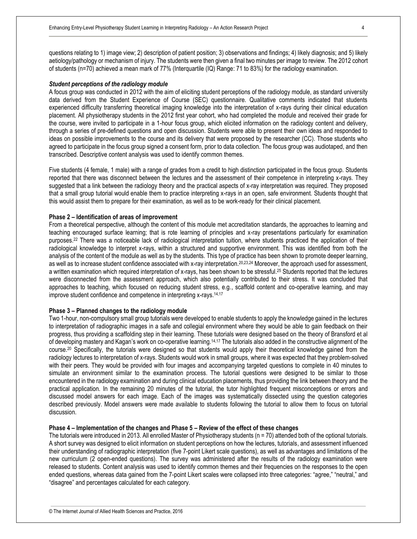questions relating to 1) image view; 2) description of patient position; 3) observations and findings; 4) likely diagnosis; and 5) likely aetiology/pathology or mechanism of injury. The students were then given a final two minutes per image to review. The 2012 cohort of students (n=70) achieved a mean mark of 77% (Interquartile (IQ) Range: 71 to 83%) for the radiology examination.

#### *Student perceptions of the radiology module*

A focus group was conducted in 2012 with the aim of eliciting student perceptions of the radiology module, as standard university data derived from the Student Experience of Course (SEC) questionnaire. Qualitative comments indicated that students experienced difficulty transferring theoretical imaging knowledge into the interpretation of x-rays during their clinical education placement. All physiotherapy students in the 2012 first year cohort, who had completed the module and received their grade for the course, were invited to participate in a 1-hour focus group, which elicited information on the radiology content and delivery, through a series of pre-defined questions and open discussion. Students were able to present their own ideas and responded to ideas on possible improvements to the course and its delivery that were proposed by the researcher (CC). Those students who agreed to participate in the focus group signed a consent form, prior to data collection. The focus group was audiotaped, and then transcribed. Descriptive content analysis was used to identify common themes.

Five students (4 female, 1 male) with a range of grades from a credit to high distinction participated in the focus group. Students reported that there was disconnect between the lectures and the assessment of their competence in interpreting x-rays. They suggested that a link between the radiology theory and the practical aspects of x-ray interpretation was required. They proposed that a small group tutorial would enable them to practice interpreting x-rays in an open, safe environment. Students thought that this would assist them to prepare for their examination, as well as to be work-ready for their clinical placement.

#### **Phase 2 – Identification of areas of improvement**

From a theoretical perspective, although the content of this module met accreditation standards, the approaches to learning and teaching encouraged surface learning; that is rote learning of principles and x-ray presentations particularly for examination purposes. <sup>22</sup> There was a noticeable lack of radiological interpretation tuition, where students practiced the application of their radiological knowledge to interpret x-rays, within a structured and supportive environment. This was identified from both the analysis of the content of the module as well as by the students. This type of practice has been shown to promote deeper learning, as well as to increase student confidence associated with x-ray interpretation.<sup>20,23,24</sup> Moreover, the approach used for assessment, a written examination which required interpretation of x-rays, has been shown to be stressful.<sup>25</sup> Students reported that the lectures were disconnected from the assessment approach, which also potentially contributed to their stress. It was concluded that approaches to teaching, which focused on reducing student stress, e.g., scaffold content and co-operative learning, and may improve student confidence and competence in interpreting x-rays. 14,17

#### **Phase 3 – Planned changes to the radiology module**

Two 1-hour, non-compulsory small group tutorials were developed to enable students to apply the knowledge gained in the lectures to interpretation of radiographic images in a safe and collegial environment where they would be able to gain feedback on their progress, thus providing a scaffolding step in their learning. These tutorials were designed based on the theory of Bransford et al of developing mastery and Kagan's work on co-operative learning.14,17 The tutorials also added in the constructive alignment of the course. <sup>20</sup> Specifically, the tutorials were designed so that students would apply their theoretical knowledge gained from the radiology lectures to interpretation of x-rays. Students would work in small groups, where it was expected that they problem-solved with their peers. They would be provided with four images and accompanying targeted questions to complete in 40 minutes to simulate an environment similar to the examination process. The tutorial questions were designed to be similar to those encountered in the radiology examination and during clinical education placements, thus providing the link between theory and the practical application. In the remaining 20 minutes of the tutorial, the tutor highlighted frequent misconceptions or errors and discussed model answers for each image. Each of the images was systematically dissected using the question categories described previously. Model answers were made available to students following the tutorial to allow them to focus on tutorial discussion.

#### **Phase 4 – Implementation of the changes and Phase 5 – Review of the effect of these changes**

The tutorials were introduced in 2013. All enrolled Master of Physiotherapy students (n = 70) attended both of the optional tutorials. A short survey was designed to elicit information on student perceptions on how the lectures, tutorials, and assessment influenced their understanding of radiographic interpretation (five 7-point Likert scale questions), as well as advantages and limitations of the new curriculum (2 open-ended questions). The survey was administered after the results of the radiology examination were released to students. Content analysis was used to identify common themes and their frequencies on the responses to the open ended questions, whereas data gained from the 7-point Likert scales were collapsed into three categories: "agree," "neutral," and "disagree" and percentages calculated for each category.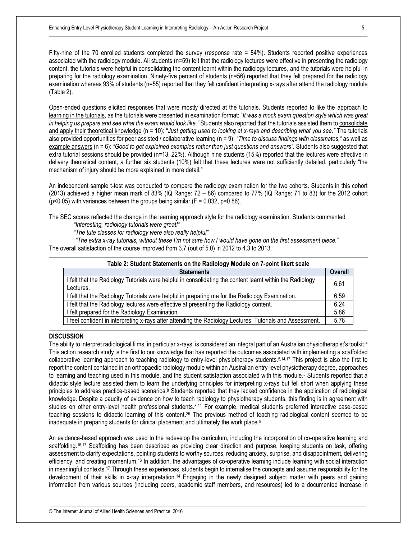Fifty-nine of the 70 enrolled students completed the survey (response rate = 84%). Students reported positive experiences associated with the radiology module. All students (n=59) felt that the radiology lectures were effective in presenting the radiology content, the tutorials were helpful in consolidating the content learnt within the radiology lectures, and the tutorials were helpful in preparing for the radiology examination. Ninety-five percent of students (n=56) reported that they felt prepared for the radiology examination whereas 93% of students (n=55) reported that they felt confident interpreting x-rays after attend the radiology module (Table 2).

Open-ended questions elicited responses that were mostly directed at the tutorials. Students reported to like the approach to learning in the tutorials, as the tutorials were presented in examination format: "*It was a mock exam question style which was great in helping us prepare and see what the exam would look like."* Students also reported that the tutorials assisted them to consolidate and apply their theoretical knowledge (n = 10): "*Just getting used to looking at x-rays and describing what you see."* The tutorials also provided opportunities for peer assisted / collaborative learning (n = 9): *"Time to discuss findings with classmates,"* as well as example answers (n = 6): "Good to get explained examples rather than just questions and answers". Students also suggested that extra tutorial sessions should be provided (n=13, 22%). Although nine students (15%) reported that the lectures were effective in delivery theoretical content, a further six students (10%) felt that these lectures were not sufficiently detailed, particularly "the mechanism of injury should be more explained in more detail."

An independent sample t-test was conducted to compare the radiology examination for the two cohorts. Students in this cohort (2013) achieved a higher mean mark of 83% (IQ Range: 72 – 86) compared to 77% (IQ Range: 71 to 83) for the 2012 cohort ( $p$ <0.05) with variances between the groups being similar ( $F = 0.032$ ,  $p = 0.86$ ).

The SEC scores reflected the change in the learning approach style for the radiology examination. Students commented *"Interesting, radiology tutorials were great!"*

*"The tute classes for radiology were also really helpful"*

*"The extra x-ray tutorials, without these I'm not sure how I would have gone on the first assessment piece."* The overall satisfaction of the course improved from 3.7 (out of 5.0) in 2012 to 4.3 to 2013.

| Table 2: Student Statements on the Radiology Module on 7-point likert scale                                            |                |  |  |
|------------------------------------------------------------------------------------------------------------------------|----------------|--|--|
| <b>Statements</b>                                                                                                      | <b>Overall</b> |  |  |
| I felt that the Radiology Tutorials were helpful in consolidating the content learnt within the Radiology<br>Lectures. | 6.61           |  |  |
| I felt that the Radiology Tutorials were helpful in preparing me for the Radiology Examination.                        | 6.59           |  |  |
| I felt that the Radiology lectures were effective at presenting the Radiology content.                                 | 6.24           |  |  |
| I felt prepared for the Radiology Examination.                                                                         | 5.86           |  |  |
| I feel confident in interpreting x-rays after attending the Radiology Lectures, Tutorials and Assessment.              | 5.76           |  |  |

#### **DISCUSSION**

The ability to interpret radiological films, in particular x-rays, is considered an integral part of an Australian physiotherapist's toolkit. 4 This action research study is the first to our knowledge that has reported the outcomes associated with implementing a scaffolded collaborative learning approach to teaching radiology to entry-level physiotherapy students. 5,14,17 This project is also the first to report the content contained in an orthopaedic radiology module within an Australian entry-level physiotherapy degree, approaches to learning and teaching used in this module, and the student satisfaction associated with this module. <sup>5</sup> Students reported that a didactic style lecture assisted them to learn the underlying principles for interpreting x-rays but fell short when applying these principles to address practice-based scenarios.<sup>8</sup> Students reported that they lacked confidence in the application of radiological knowledge. Despite a paucity of evidence on how to teach radiology to physiotherapy students, this finding is in agreement with studies on other entry-level health professional students.<sup>8-11</sup> For example, medical students preferred interactive case-based teaching sessions to didactic learning of this content. <sup>26</sup> The previous method of teaching radiological content seemed to be inadequate in preparing students for clinical placement and ultimately the work place.<sup>8</sup>

An evidence-based approach was used to the redevelop the curriculum, including the incorporation of co-operative learning and scaffolding.<sup>16,17</sup> Scaffolding has been described as providing clear direction and purpose, keeping students on task, offering assessment to clarify expectations, pointing students to worthy sources, reducing anxiety, surprise, and disappointment, delivering efficiency, and creating momentum.<sup>16</sup> In addition, the advantages of co-operative learning include learning with social interaction in meaningful contexts.<sup>17</sup> Through these experiences, students begin to internalise the concepts and assume responsibility for the development of their skills in x-ray interpretation.<sup>14</sup> Engaging in the newly designed subject matter with peers and gaining information from various sources (including peers, academic staff members, and resources) led to a documented increase in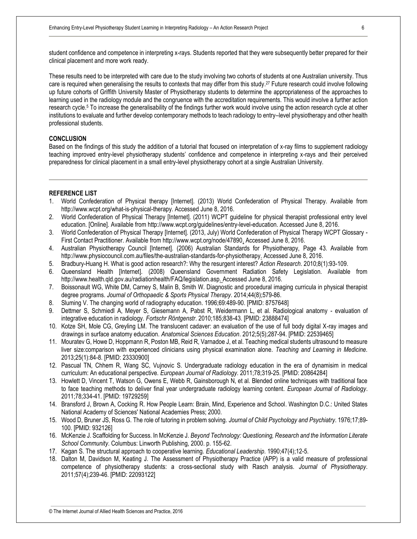student confidence and competence in interpreting x-rays. Students reported that they were subsequently better prepared for their clinical placement and more work ready.

These results need to be interpreted with care due to the study involving two cohorts of students at one Australian university. Thus care is required when generalising the results to contexts that may differ from this study.<sup>27</sup> Future research could involve following up future cohorts of Griffith University Master of Physiotherapy students to determine the appropriateness of the approaches to learning used in the radiology module and the congruence with the accreditation requirements. This would involve a further action research cycle. <sup>5</sup> To increase the generalisability of the findings further work would involve using the action research cycle at other institutions to evaluate and further develop contemporary methods to teach radiology to entry–level physiotherapy and other health professional students.

#### **CONCLUSION**

Based on the findings of this study the addition of a tutorial that focused on interpretation of x-ray films to supplement radiology teaching improved entry-level physiotherapy students' confidence and competence in interpreting x-rays and their perceived preparedness for clinical placement in a small entry-level physiotherapy cohort at a single Australian University.

#### **REFERENCE LIST**

- 1. World Confederation of Physical therapy [Internet]. (2013) World Confederation of Physical Therapy. Available from http://www.wcpt.org/what-is-physical-therapy. Accessed June 8, 2016.
- 2. World Confederation of Physical Therapy [Internet]. (2011) WCPT guideline for physical therapist professional entry level education. [Online]. Available from http://www.wcpt.org/guidelines/entry-level-education. Accessed June 8, 2016.
- 3. World Confederation of Physical Therapy [Internet]. (2013, July) World Confederation of Physical Therapy WCPT Glossary First Contact Practitioner. Available from http://www.wcpt.org/node/47890. Accessed June 8, 2016.
- 4. Australian Physiotherapy Council [Internet]. (2006) Australian Standards for Physiotherapy, Page 43. Available from http://www.physiocouncil.com.au/files/the-australian-standards-for-physiotherapy. Accessed June 8, 2016.
- 5. Bradbury-Huang H. What is good action research?: Why the resurgent interest? *Action Research*. 2010;8(1):93-109.
- 6. Queensland Health [Internet]. (2008) Queensland Government Radiation Safety Legislation. Available from http://www.health.qld.gov.au/radiationhealth/FAQ/legislation.asp. Accessed June 8, 2016.
- 7. Boissonault WG, White DM, Carney S, Malin B, Smith W. Diagnostic and procedural imaging curricula in physical therapist degree programs. *Journal of Orthopaedic & Sports Physical Therapy*. 2014;44(8);579-86.
- 8. Sluming V. The changing world of radiography education. 1996;69:489-90. [PMID: 8757648]
- 9. Dettmer S, Schmiedl A, Meyer S, Giesemann A, Pabst R, Weidermann L, et al. Radiological anatomy evaluation of integrative education in radiology. *Fortschr Röntgenstr*. 2010;185;838-43. [PMID: 23888474]
- 10. Kotze SH, Mole CG, Greyling LM. The translucent cadaver: an evaluation of the use of full body digital X-ray images and drawings in surface anatomy education. *Anatomical Sciences Education*. 2012;5(5);287-94. [PMID: 22539465]
- 11. Mouratev G, Howe D, Hoppmann R, Poston MB, Reid R, Varnadoe J, et al. Teaching medical students ultrasound to measure liver size:comparison with experienced clinicians using physical examination alone. *Teaching and Learning in Medicine.* 2013;25(1):84-8. [PMID: 23330900]
- 12. Pascual TN, Chhem R, Wang SC, Vujnovic S. Undergraduate radiology education in the era of dynamisim in medical curriculum: An educational perspective. *European Journal of Radiology*. 2011;78;319-25. [PMID: 20864284]
- 13. Howlett D, Vincent T, Watson G, Owens E, Webb R, Gainsborough N, et al. Blended online techniques with traditional face to face teaching methods to deliver final year undergraduate radiology learning content. *European Journal of Radiology*. 2011;78;334-41. [PMID: 19729259]
- 14. Bransford J, Brown A, Cocking R. How People Learn: Brain, Mind, Experience and School. Washington D.C.: United States National Academy of Sciences' National Academies Press; 2000.
- 15. Wood D, Bruner JS, Ross G. The role of tutoring in problem solving. *Journal of Child Psychology and Psychiatry*. 1976;17;89- 100. [PMID: 932126]
- 16. McKenzie J. Scaffolding for Success. In McKenzie J. *Beyond Technology: Questioning, Research and the Information Literate School Community*. Columbus: Linworth Publishing, 2000. p. 155-62.
- 17. Kagan S. The structural approach to cooperative learning. *Educational Leadership*. 1990;47(4);12-5.
- 18. Dalton M, Davidson M, Keating J. The Assessment of Physiotherapy Practice (APP) is a valid measure of professional competence of physiotherapy students: a cross-sectional study with Rasch analysis. *Journal of Physiotherapy*. 2011;57(4);239-46. [PMID: 22093122]